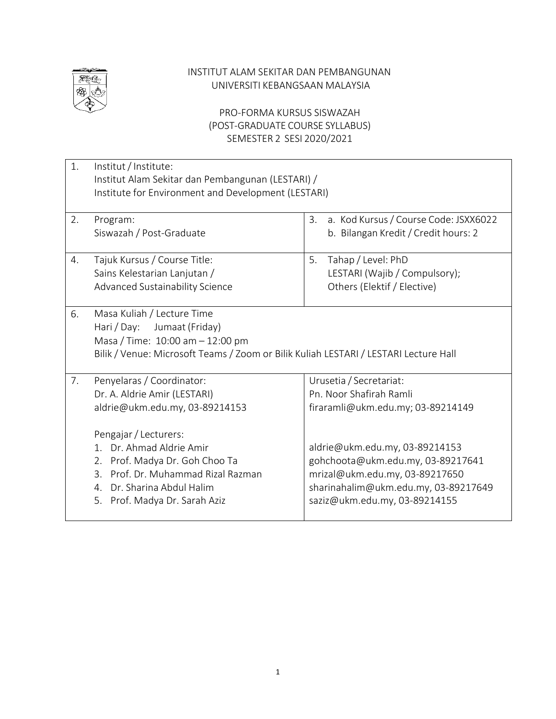

### INSTITUT ALAM SEKITAR DAN PEMBANGUNAN UNIVERSITI KEBANGSAAN MALAYSIA

## PRO-FORMA KURSUS SISWAZAH (POST-GRADUATE COURSE SYLLABUS) SEMESTER 2 SESI 2020/2021

| 1. | Institut / Institute:<br>Institut Alam Sekitar dan Pembangunan (LESTARI) /<br>Institute for Environment and Development (LESTARI)                                                                                                                                                             |                                                                                                                                                                                                                                                                           |  |  |
|----|-----------------------------------------------------------------------------------------------------------------------------------------------------------------------------------------------------------------------------------------------------------------------------------------------|---------------------------------------------------------------------------------------------------------------------------------------------------------------------------------------------------------------------------------------------------------------------------|--|--|
| 2. | Program:<br>Siswazah / Post-Graduate                                                                                                                                                                                                                                                          | a. Kod Kursus / Course Code: JSXX6022<br>3.<br>b. Bilangan Kredit / Credit hours: 2                                                                                                                                                                                       |  |  |
| 4. | Tajuk Kursus / Course Title:<br>Sains Kelestarian Lanjutan /<br>Advanced Sustainability Science                                                                                                                                                                                               | 5.<br>Tahap / Level: PhD<br>LESTARI (Wajib / Compulsory);<br>Others (Elektif / Elective)                                                                                                                                                                                  |  |  |
| 6. | Masa Kuliah / Lecture Time<br>Hari / Day:<br>Jumaat (Friday)<br>Masa / Time: 10:00 am - 12:00 pm<br>Bilik / Venue: Microsoft Teams / Zoom or Bilik Kuliah LESTARI / LESTARI Lecture Hall                                                                                                      |                                                                                                                                                                                                                                                                           |  |  |
| 7. | Penyelaras / Coordinator:<br>Dr. A. Aldrie Amir (LESTARI)<br>aldrie@ukm.edu.my, 03-89214153<br>Pengajar / Lecturers:<br>1. Dr. Ahmad Aldrie Amir<br>2. Prof. Madya Dr. Goh Choo Ta<br>Prof. Dr. Muhammad Rizal Razman<br>3.<br>4. Dr. Sharina Abdul Halim<br>Prof. Madya Dr. Sarah Aziz<br>5. | Urusetia / Secretariat:<br>Pn. Noor Shafirah Ramli<br>firaramli@ukm.edu.my; 03-89214149<br>aldrie@ukm.edu.my, 03-89214153<br>gohchoota@ukm.edu.my, 03-89217641<br>mrizal@ukm.edu.my, 03-89217650<br>sharinahalim@ukm.edu.my, 03-89217649<br>saziz@ukm.edu.my, 03-89214155 |  |  |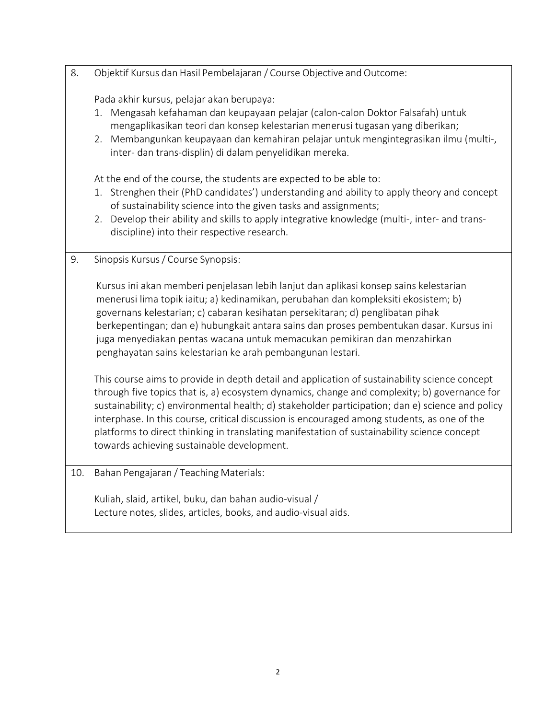8. Objektif Kursus dan Hasil Pembelajaran / Course Objective and Outcome:

Pada akhir kursus, pelajar akan berupaya:

- 1. Mengasah kefahaman dan keupayaan pelajar (calon-calon Doktor Falsafah) untuk mengaplikasikan teori dan konsep kelestarian menerusi tugasan yang diberikan;
- 2. Membangunkan keupayaan dan kemahiran pelajar untuk mengintegrasikan ilmu (multi-, inter- dan trans-displin) di dalam penyelidikan mereka.

At the end of the course, the students are expected to be able to:

- 1. Strenghen their (PhD candidates') understanding and ability to apply theory and concept of sustainability science into the given tasks and assignments;
- 2. Develop their ability and skills to apply integrative knowledge (multi-, inter- and transdiscipline) into their respective research.
- 9. Sinopsis Kursus/ Course Synopsis:

Kursus ini akan memberi penjelasan lebih lanjut dan aplikasi konsep sains kelestarian menerusi lima topik iaitu; a) kedinamikan, perubahan dan kompleksiti ekosistem; b) governans kelestarian; c) cabaran kesihatan persekitaran; d) penglibatan pihak berkepentingan; dan e) hubungkait antara sains dan proses pembentukan dasar. Kursus ini juga menyediakan pentas wacana untuk memacukan pemikiran dan menzahirkan penghayatan sains kelestarian ke arah pembangunan lestari.

This course aims to provide in depth detail and application of sustainability science concept through five topics that is, a) ecosystem dynamics, change and complexity; b) governance for sustainability; c) environmental health; d) stakeholder participation; dan e) science and policy interphase. In this course, critical discussion is encouraged among students, as one of the platforms to direct thinking in translating manifestation of sustainability science concept towards achieving sustainable development.

10. Bahan Pengajaran / Teaching Materials:

Kuliah, slaid, artikel, buku, dan bahan audio-visual / Lecture notes, slides, articles, books, and audio-visual aids.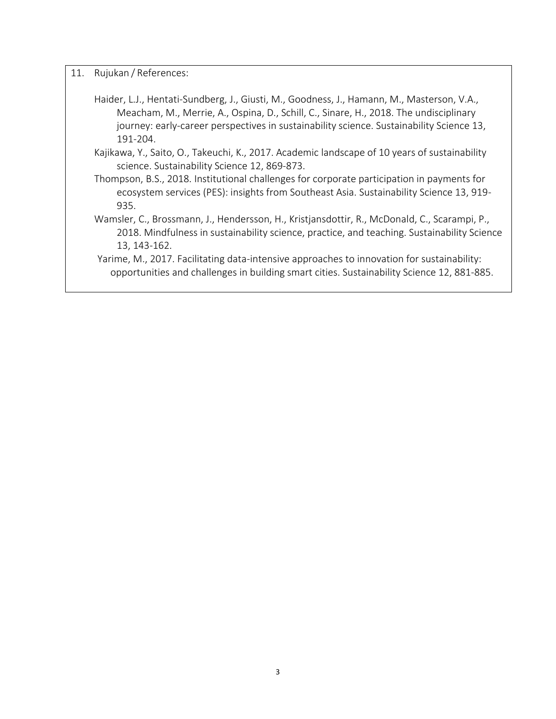- 11. Rujukan / References:
	- Haider, L.J., Hentati-Sundberg, J., Giusti, M., Goodness, J., Hamann, M., Masterson, V.A., Meacham, M., Merrie, A., Ospina, D., Schill, C., Sinare, H., 2018. The undisciplinary journey: early-career perspectives in sustainability science. Sustainability Science 13, 191-204.
	- Kajikawa, Y., Saito, O., Takeuchi, K., 2017. Academic landscape of 10 years of sustainability science. Sustainability Science 12, 869-873.
	- Thompson, B.S., 2018. Institutional challenges for corporate participation in payments for ecosystem services (PES): insights from Southeast Asia. Sustainability Science 13, 919- 935.
	- Wamsler, C., Brossmann, J., Hendersson, H., Kristjansdottir, R., McDonald, C., Scarampi, P., 2018. Mindfulness in sustainability science, practice, and teaching. Sustainability Science 13, 143-162.
	- Yarime, M., 2017. Facilitating data-intensive approaches to innovation for sustainability: opportunities and challenges in building smart cities. Sustainability Science 12, 881-885.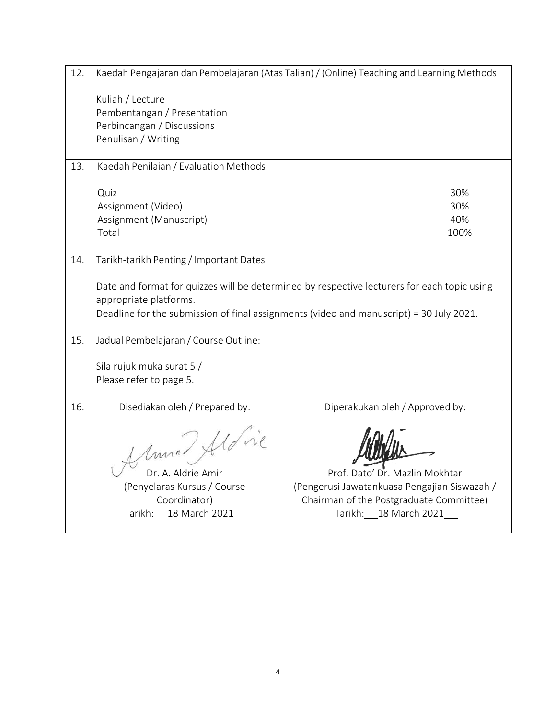| 12.<br>Kaedah Pengajaran dan Pembelajaran (Atas Talian) / (Online) Teaching and Learning Methods |                                         |                                                                                                                                                                                        |  |  |  |
|--------------------------------------------------------------------------------------------------|-----------------------------------------|----------------------------------------------------------------------------------------------------------------------------------------------------------------------------------------|--|--|--|
|                                                                                                  | Kuliah / Lecture                        |                                                                                                                                                                                        |  |  |  |
|                                                                                                  | Pembentangan / Presentation             |                                                                                                                                                                                        |  |  |  |
|                                                                                                  | Perbincangan / Discussions              |                                                                                                                                                                                        |  |  |  |
|                                                                                                  | Penulisan / Writing                     |                                                                                                                                                                                        |  |  |  |
| 13.                                                                                              | Kaedah Penilaian / Evaluation Methods   |                                                                                                                                                                                        |  |  |  |
|                                                                                                  | Quiz                                    | 30%                                                                                                                                                                                    |  |  |  |
|                                                                                                  | Assignment (Video)                      | 30%                                                                                                                                                                                    |  |  |  |
|                                                                                                  | Assignment (Manuscript)                 | 40%                                                                                                                                                                                    |  |  |  |
|                                                                                                  | Total                                   | 100%                                                                                                                                                                                   |  |  |  |
| 14.                                                                                              | Tarikh-tarikh Penting / Important Dates |                                                                                                                                                                                        |  |  |  |
|                                                                                                  | appropriate platforms.                  | Date and format for quizzes will be determined by respective lecturers for each topic using<br>Deadline for the submission of final assignments (video and manuscript) = 30 July 2021. |  |  |  |
| 15.                                                                                              | Jadual Pembelajaran / Course Outline:   |                                                                                                                                                                                        |  |  |  |
|                                                                                                  | Sila rujuk muka surat 5 /               |                                                                                                                                                                                        |  |  |  |
|                                                                                                  | Please refer to page 5.                 |                                                                                                                                                                                        |  |  |  |
| 16.                                                                                              | Disediakan oleh / Prepared by:          | Diperakukan oleh / Approved by:                                                                                                                                                        |  |  |  |
|                                                                                                  |                                         |                                                                                                                                                                                        |  |  |  |
|                                                                                                  | Amma Hovie                              |                                                                                                                                                                                        |  |  |  |
|                                                                                                  | Dr. A. Aldrie Amir                      | Prof. Dato' Dr. Mazlin Mokhtar                                                                                                                                                         |  |  |  |
|                                                                                                  | (Penyelaras Kursus / Course             | (Pengerusi Jawatankuasa Pengajian Siswazah /                                                                                                                                           |  |  |  |
|                                                                                                  | Coordinator)                            | Chairman of the Postgraduate Committee)                                                                                                                                                |  |  |  |
|                                                                                                  | Tarikh:<br>18 March 2021                | Tarikh: 18 March 2021                                                                                                                                                                  |  |  |  |